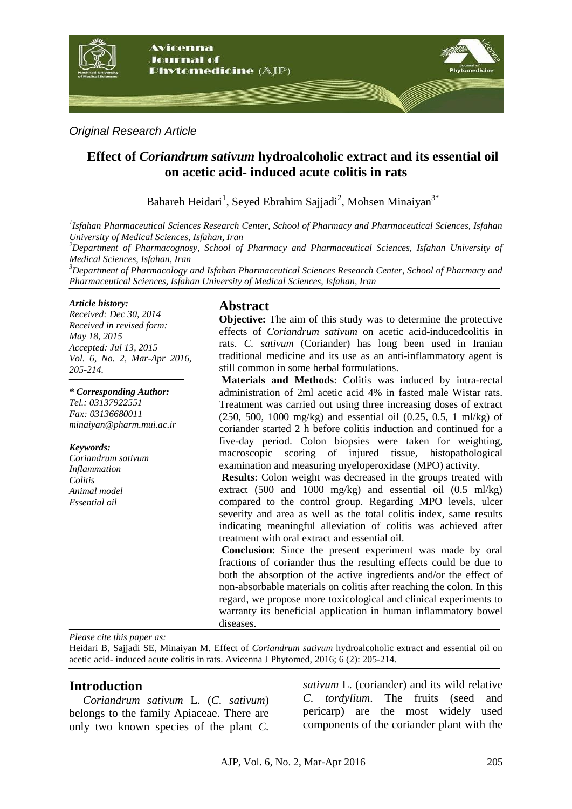

*Original Research Article*

# **Effect of** *Coriandrum sativum* **hydroalcoholic extract and its essential oil on acetic acid- induced acute colitis in rats**

Bahareh Heidari<sup>1</sup>, Seyed Ebrahim Sajjadi<sup>2</sup>, Mohsen Minaiyan<sup>3\*</sup>

*1 Isfahan Pharmaceutical Sciences Research Center, School of Pharmacy and Pharmaceutical Sciences, Isfahan University of Medical Sciences, Isfahan, Iran*

*<sup>2</sup>Department of Pharmacognosy, School of Pharmacy and Pharmaceutical Sciences, Isfahan University of Medical Sciences, Isfahan, Iran*

*<sup>3</sup>Department of Pharmacology and Isfahan Pharmaceutical Sciences Research Center, School of Pharmacy and Pharmaceutical Sciences, Isfahan University of Medical Sciences, Isfahan, Iran*

#### *Article history:*

*Received: Dec 30, 2014 Received in revised form: May 18, 2015 Accepted: Jul 13, 2015 Vol. 6, No. 2, Mar-Apr 2016, 205-214.*

*\* Corresponding Author: Tel.: 03137922551 Fax: 03136680011 minaiyan@pharm.mui.ac.ir*

#### *Keywords:*

*Coriandrum sativum Inflammation Colitis Animal model Essential oil*

## **Abstract**

**Objective:** The aim of this study was to determine the protective effects of *Coriandrum sativum* on acetic acid-inducedcolitis in rats. *C. sativum* (Coriander) has long been used in Iranian traditional medicine and its use as an anti-inflammatory agent is still common in some herbal formulations.

**Materials and Methods**: Colitis was induced by intra-rectal administration of 2ml acetic acid 4% in fasted male Wistar rats. Treatment was carried out using three increasing doses of extract (250, 500, 1000 mg/kg) and essential oil (0.25, 0.5, 1 ml/kg) of coriander started 2 h before colitis induction and continued for a five-day period. Colon biopsies were taken for weighting, macroscopic scoring of injured tissue, histopathological examination and measuring myeloperoxidase (MPO) activity.

**Results**: Colon weight was decreased in the groups treated with extract (500 and 1000 mg/kg) and essential oil (0.5 ml/kg) compared to the control group. Regarding MPO levels, ulcer severity and area as well as the total colitis index, same results indicating meaningful alleviation of colitis was achieved after treatment with oral extract and essential oil.

**Conclusion**: Since the present experiment was made by oral fractions of coriander thus the resulting effects could be due to both the absorption of the active ingredients and/or the effect of non-absorbable materials on colitis after reaching the colon. In this regard, we propose more toxicological and clinical experiments to warranty its beneficial application in human inflammatory bowel diseases.

*Please cite this paper as:* 

Heidari B, Sajjadi SE, Minaiyan M. Effect of *Coriandrum sativum* hydroalcoholic extract and essential oil on acetic acid- induced acute colitis in rats. Avicenna J Phytomed, 2016; 6 (2): 205-214.

## **Introduction**

*Coriandrum sativum* L. (*C. sativum*) belongs to the family Apiaceae. There are only two known species of the plant *C.* 

*sativum* L. (coriander) and its wild relative *C. tordylium*. The fruits (seed and pericarp) are the most widely used components of the coriander plant with the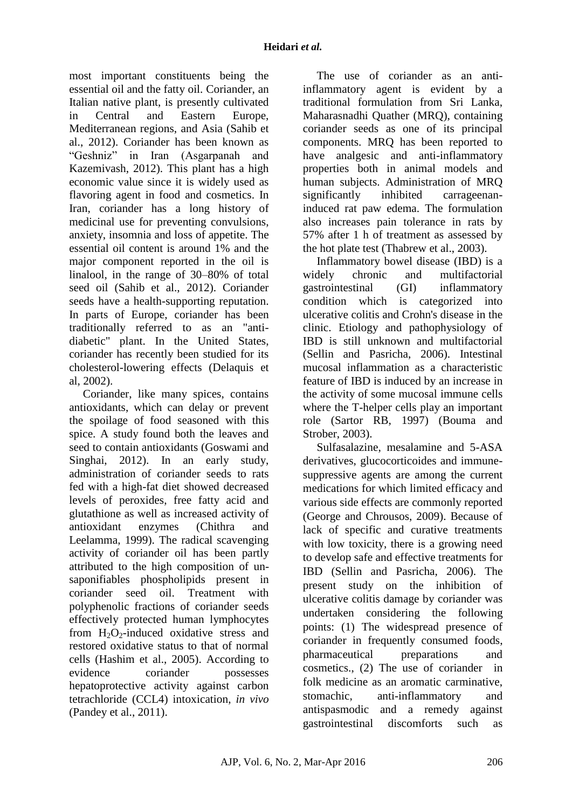most important constituents being the essential oil and the fatty oil. Coriander, an Italian native plant, is presently cultivated in Central and Eastern Europe, Mediterranean regions, and Asia (Sahib et al., 2012). Coriander has been known as "Geshniz" in Iran (Asgarpanah and Kazemivash, 2012). This plant has a high economic value since it is widely used as flavoring agent in food and cosmetics. In Iran, coriander has a long history of medicinal use for preventing convulsions, anxiety, insomnia and loss of appetite. The essential oil content is around 1% and the major component reported in the oil is linalool, in the range of 30–80% of total seed oil (Sahib et al., 2012). Coriander seeds have a health-supporting reputation. In parts of Europe, coriander has been traditionally referred to as an "antidiabetic" plant. In the United States, coriander has recently been studied for its cholesterol-lowering effects (Delaquis et al, 2002).

Coriander, like many spices, contains [antioxidants,](http://en.wikipedia.org/wiki/Antioxidants) which can delay or prevent the spoilage of food seasoned with this spice. A study found both the leaves and seed to contain antioxidants (Goswami and Singhai, 2012). In an early study, administration of coriander seeds to rats fed with a high-fat diet showed decreased levels of peroxides, free fatty acid and glutathione as well as increased activity of antioxidant enzymes (Chithra and Leelamma, 1999). The radical scavenging activity of coriander oil has been partly attributed to the high composition of unsaponifiables phospholipids present in coriander seed oil. Treatment with polyphenolic fractions of coriander seeds effectively protected human lymphocytes from  $H_2O_2$ -induced oxidative stress and restored oxidative status to that of normal cells (Hashim et al., 2005). According to evidence coriander possesses hepatoprotective activity against carbon tetrachloride (CCL4) intoxication, *in vivo* (Pandey et al., 2011).

The use of coriander as an antiinflammatory agent is evident by a traditional formulation from Sri Lanka, Maharasnadhi Quather (MRQ), containing coriander seeds as one of its principal components. MRQ has been reported to have analgesic and anti-inflammatory properties both in animal models and human subjects. Administration of MRQ significantly inhibited carrageenaninduced rat paw edema. The formulation also increases pain tolerance in rats by 57% after 1 h of treatment as assessed by the hot plate test (Thabrew et al., 2003).

Inflammatory bowel disease (IBD) is a widely chronic and multifactorial gastrointestinal (GI) inflammatory condition which is categorized into ulcerative colitis and Crohn's disease in the clinic. Etiology and pathophysiology of IBD is still unknown and multifactorial (Sellin and Pasricha, 2006). Intestinal mucosal inflammation as a characteristic feature of IBD is induced by an increase in the activity of some mucosal immune cells where the T-helper cells play an important role (Sartor RB, 1997) (Bouma and Strober, 2003).

Sulfasalazine, mesalamine and 5-ASA derivatives, glucocorticoides and immunesuppressive agents are among the current medications for which limited efficacy and various side effects are commonly reported (George and Chrousos, 2009). Because of lack of specific and curative treatments with low toxicity, there is a growing need to develop safe and effective treatments for IBD (Sellin and Pasricha, 2006). The present study on the inhibition of ulcerative colitis damage by coriander was undertaken considering the following points: (1) The widespread presence of coriander in frequently consumed foods, pharmaceutical preparations and cosmetics., (2) The use of coriander in folk medicine as an aromatic carminative, stomachic, anti-inflammatory and antispasmodic and a remedy against gastrointestinal discomforts such as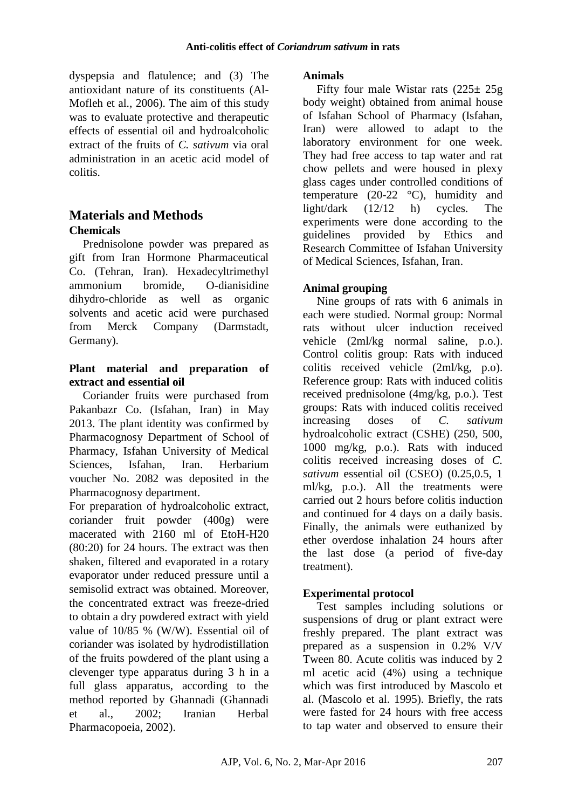dyspepsia and flatulence; and (3) The antioxidant nature of its constituents (Al-Mofleh et al., 2006). The aim of this study was to evaluate protective and therapeutic effects of essential oil and hydroalcoholic extract of the fruits of *C. sativum* via oral administration in an acetic acid model of colitis.

# **Materials and Methods Chemicals**

Prednisolone powder was prepared as gift from Iran Hormone Pharmaceutical Co. (Tehran, Iran). Hexadecyltrimethyl ammonium bromide, O-dianisidine dihydro-chloride as well as organic solvents and acetic acid were purchased from Merck Company (Darmstadt, Germany).

## **Plant material and preparation of extract and essential oil**

Coriander fruits were purchased from Pakanbazr Co. (Isfahan, Iran) in May 2013. The plant identity was confirmed by Pharmacognosy Department of School of Pharmacy, Isfahan University of Medical Sciences, Isfahan, Iran. Herbarium voucher No. 2082 was deposited in the Pharmacognosy department.

For preparation of hydroalcoholic extract, coriander fruit powder (400g) were macerated with 2160 ml of EtoH-H20 (80:20) for 24 hours. The extract was then shaken, filtered and evaporated in a rotary evaporator under reduced pressure until a semisolid extract was obtained. Moreover, the concentrated extract was freeze-dried to obtain a dry powdered extract with yield value of 10/85 % (W/W). Essential oil of coriander was isolated by hydrodistillation of the fruits powdered of the plant using a clevenger type apparatus during 3 h in a full glass apparatus, according to the method reported by Ghannadi (Ghannadi et al., 2002; Iranian Herbal Pharmacopoeia, 2002).

### **Animals**

Fifty four male Wistar rats  $(225 \pm 25)$ body weight) obtained from animal house of Isfahan School of Pharmacy (Isfahan, Iran) were allowed to adapt to the laboratory environment for one week. They had free access to tap water and rat chow pellets and were housed in plexy glass cages under controlled conditions of temperature  $(20-22 \degree C)$ , humidity and light/dark (12/12 h) cycles. The experiments were done according to the guidelines provided by Ethics and Research Committee of Isfahan University of Medical Sciences, Isfahan, Iran.

## **Animal grouping**

Nine groups of rats with 6 animals in each were studied. Normal group: Normal rats without ulcer induction received vehicle (2ml/kg normal saline, p.o.). Control colitis group: Rats with induced colitis received vehicle (2ml/kg, p.o). Reference group: Rats with induced colitis received prednisolone (4mg/kg, p.o.). Test groups: Rats with induced colitis received increasing doses of *C. sativum* hydroalcoholic extract (CSHE) (250, 500, 1000 mg/kg, p.o.). Rats with induced colitis received increasing doses of *C. sativum* essential oil (CSEO) (0.25,0.5, 1 ml/kg, p.o.). All the treatments were carried out 2 hours before colitis induction and continued for 4 days on a daily basis. Finally, the animals were euthanized by ether overdose inhalation 24 hours after the last dose (a period of five-day treatment).

## **Experimental protocol**

Test samples including solutions or suspensions of drug or plant extract were freshly prepared. The plant extract was prepared as a suspension in 0.2% V/V Tween 80. Acute colitis was induced by 2 ml acetic acid (4%) using a technique which was first introduced by Mascolo et al. (Mascolo et al. 1995). Briefly, the rats were fasted for 24 hours with free access to tap water and observed to ensure their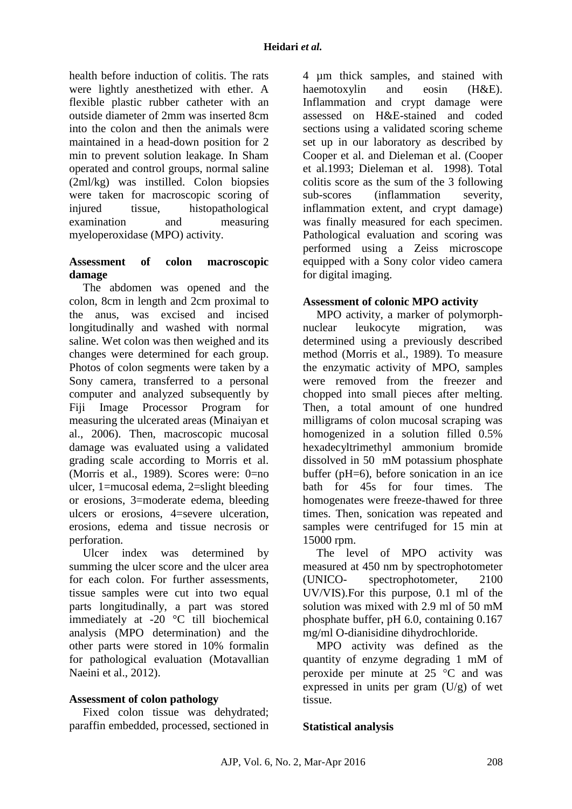health before induction of colitis. The rats were lightly anesthetized with ether. A flexible plastic rubber catheter with an outside diameter of 2mm was inserted 8cm into the colon and then the animals were maintained in a head-down position for 2 min to prevent solution leakage. In Sham operated and control groups, normal saline (2ml/kg) was instilled. Colon biopsies were taken for macroscopic scoring of injured tissue, histopathological examination and measuring myeloperoxidase (MPO) activity.

### **Assessment of colon macroscopic damage**

The abdomen was opened and the colon, 8cm in length and 2cm proximal to the anus, was excised and incised longitudinally and washed with normal saline. Wet colon was then weighed and its changes were determined for each group. Photos of colon segments were taken by a Sony camera, transferred to a personal computer and analyzed subsequently by Fiji Image Processor Program for measuring the ulcerated areas (Minaiyan et al., 2006). Then, macroscopic mucosal damage was evaluated using a validated grading scale according to Morris et al. (Morris et al., 1989). Scores were: 0=no ulcer, 1=mucosal edema, 2=slight bleeding or erosions, 3=moderate edema, bleeding ulcers or erosions, 4=severe ulceration, erosions, edema and tissue necrosis or perforation.

Ulcer index was determined by summing the ulcer score and the ulcer area for each colon. For further assessments, tissue samples were cut into two equal parts longitudinally, a part was stored immediately at -20 °C till biochemical analysis (MPO determination) and the other parts were stored in 10% formalin for pathological evaluation (Motavallian Naeini et al., 2012).

## **Assessment of colon pathology**

Fixed colon tissue was dehydrated; paraffin embedded, processed, sectioned in 4 µm thick samples, and stained with haemotoxylin and eosin (H&E). Inflammation and crypt damage were assessed on H&E-stained and coded sections using a validated scoring scheme set up in our laboratory as described by Cooper et al. and Dieleman et al. (Cooper et al.1993; Dieleman et al. 1998). Total colitis score as the sum of the 3 following sub-scores (inflammation severity, inflammation extent, and crypt damage) was finally measured for each specimen. Pathological evaluation and scoring was performed using a Zeiss microscope equipped with a Sony color video camera for digital imaging.

### **Assessment of colonic MPO activity**

MPO activity, a marker of polymorphnuclear leukocyte migration, was determined using a previously described method (Morris et al., 1989). To measure the enzymatic activity of MPO, samples were removed from the freezer and chopped into small pieces after melting. Then, a total amount of one hundred milligrams of colon mucosal scraping was homogenized in a solution filled 0.5% hexadecyltrimethyl ammonium bromide dissolved in 50 mM potassium phosphate buffer (pH=6), before sonication in an ice bath for 45s for four times. The homogenates were freeze-thawed for three times. Then, sonication was repeated and samples were centrifuged for 15 min at 15000 rpm.

The level of MPO activity was measured at 450 nm by spectrophotometer (UNICO- spectrophotometer, 2100 UV/VIS).For this purpose, 0.1 ml of the solution was mixed with 2.9 ml of 50 mM phosphate buffer, pH 6.0, containing 0.167 mg/ml O-dianisidine dihydrochloride.

MPO activity was defined as the quantity of enzyme degrading 1 mM of peroxide per minute at  $25 \text{ °C}$  and was expressed in units per gram  $(U/g)$  of wet tissue.

#### **Statistical analysis**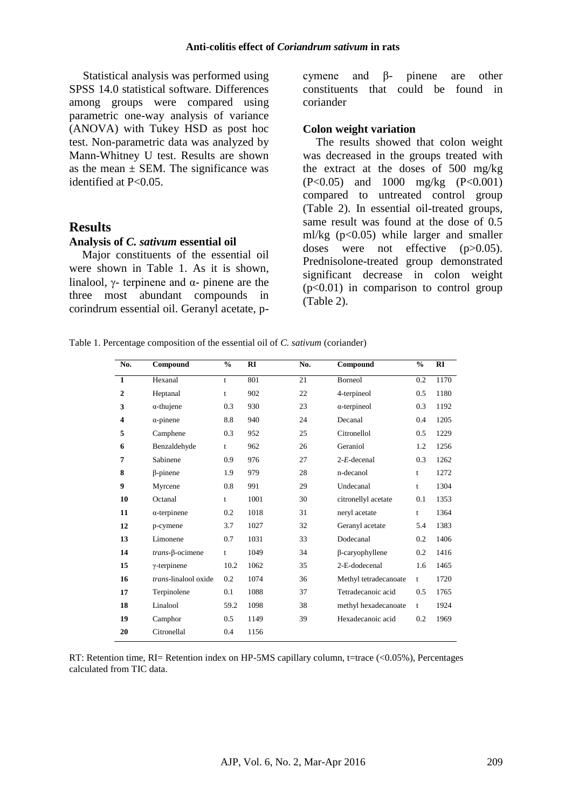Statistical analysis was performed using SPSS 14.0 statistical software. Differences among groups were compared using parametric one-way analysis of variance (ANOVA) with Tukey HSD as post hoc test. Non-parametric data was analyzed by Mann-Whitney U test. Results are shown as the mean  $\pm$  SEM. The significance was identified at P<0.05.

### **Results**

#### **Analysis of** *C. sativum* **essential oil**

Major constituents of the essential oil were shown in Table 1. As it is shown, linalool,  $\gamma$ - terpinene and  $\alpha$ - pinene are the three most abundant compounds in corindrum essential oil. Geranyl acetate, p-

cymene and β- pinene are other constituents that could be found in coriander

#### **Colon weight variation**

The results showed that colon weight was decreased in the groups treated with the extract at the doses of 500 mg/kg (P<0.05) and 1000 mg/kg (P<0.001) compared to untreated control group (Table 2). In essential oil-treated groups, same result was found at the dose of 0.5 ml/kg  $(p<0.05)$  while larger and smaller doses were not effective (p>0.05). Prednisolone-treated group demonstrated significant decrease in colon weight  $(p<0.01)$  in comparison to control group (Table 2).

Table 1. Percentage composition of the essential oil of *C. sativum* (coriander)

| No.          | Compound                     | $\frac{0}{0}$ | RI   | No. | Compound              | $\frac{0}{0}$ | RI   |
|--------------|------------------------------|---------------|------|-----|-----------------------|---------------|------|
| $\mathbf{1}$ | Hexanal                      | t             | 801  | 21  | <b>Borneol</b>        | 0.2           | 1170 |
| $\mathbf{2}$ | Heptanal                     | t             | 902  | 22  | 4-terpineol           | 0.5           | 1180 |
| 3            | $\alpha$ -thujene            | 0.3           | 930  | 23  | $\alpha$ -terpineol   | 0.3           | 1192 |
| 4            | $\alpha$ -pinene             | 8.8           | 940  | 24  | Decanal               | 0.4           | 1205 |
| 5            | Camphene                     | 0.3           | 952  | 25  | Citronellol           | 0.5           | 1229 |
| 6            | Benzaldehyde                 | t             | 962  | 26  | Geraniol              | 1.2           | 1256 |
| 7            | Sabinene                     | 0.9           | 976  | 27  | $2-E$ -decenal        | 0.3           | 1262 |
| 8            | <b>B-pinene</b>              | 1.9           | 979  | 28  | n-decanol             | t             | 1272 |
| 9            | Myrcene                      | 0.8           | 991  | 29  | Undecanal             | t             | 1304 |
| 10           | Octanal                      | t             | 1001 | 30  | citronellyl acetate   | 0.1           | 1353 |
| 11           | $\alpha$ -terpinene          | 0.2           | 1018 | 31  | neryl acetate         | t             | 1364 |
| 12           | p-cymene                     | 3.7           | 1027 | 32  | Geranyl acetate       | 5.4           | 1383 |
| 13           | Limonene                     | 0.7           | 1031 | 33  | Dodecanal             | 0.2           | 1406 |
| 14           | $trans-\beta$ -ocimene       | t             | 1049 | 34  | β-caryophyllene       | 0.2           | 1416 |
| 15           | $\gamma$ -terpinene          | 10.2          | 1062 | 35  | 2-E-dodecenal         | 1.6           | 1465 |
| 16           | <i>trans</i> -linalool oxide | 0.2           | 1074 | 36  | Methyl tetradecanoate | t             | 1720 |
| 17           | Terpinolene                  | 0.1           | 1088 | 37  | Tetradecanoic acid    | 0.5           | 1765 |
| 18           | Linalool                     | 59.2          | 1098 | 38  | methyl hexadecanoate  | t             | 1924 |
| 19           | Camphor                      | 0.5           | 1149 | 39  | Hexadecanoic acid     | 0.2           | 1969 |
| 20           | Citronellal                  | 0.4           | 1156 |     |                       |               |      |

RT: Retention time, RI= Retention index on HP-5MS capillary column, t=trace (<0.05%), Percentages calculated from TIC data.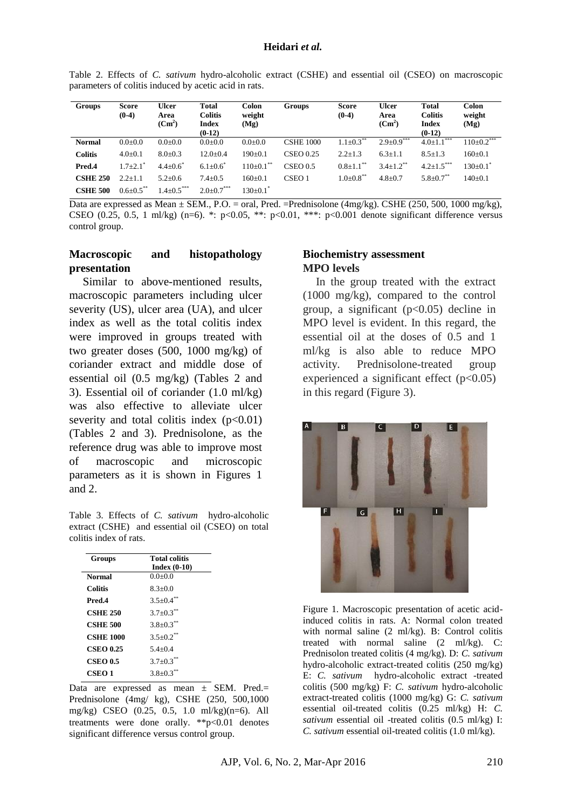Table 2. Effects of *C. sativum* hydro-alcoholic extract (CSHE) and essential oil (CSEO) on macroscopic parameters of colitis induced by acetic acid in rats.

| <b>Groups</b>   | Score<br>$(0-4)$       | <b>Ulcer</b><br>Area<br>$(Cm^2)$ | Total<br><b>Colitis</b><br>Index<br>$(0-12)$ | Colon<br>weight<br>(Mg)    | <b>Groups</b>     | Score<br>$(0-4)$            | <b>Ulcer</b><br>Area<br>$(Cm^2)$ | <b>Total</b><br><b>Colitis</b><br><b>Index</b><br>$(0-12)$ | <b>Colon</b><br>weight<br>(Mg) |
|-----------------|------------------------|----------------------------------|----------------------------------------------|----------------------------|-------------------|-----------------------------|----------------------------------|------------------------------------------------------------|--------------------------------|
| <b>Normal</b>   | $0.0 + 0.0$            | $0.0 + 0.0$                      | $0.0 + 0.0$                                  | $0.0 + 0.0$                | <b>CSHE 1000</b>  | $1.1+0.3***$                | $2.9+0.9***$                     | $4.0 \pm 1.1$ ***                                          | $110 \pm 0.2$ ***              |
| <b>Colitis</b>  | $4.0 \pm 0.1$          | $8.0 \pm 0.3$                    | $12.0 \pm 0.4$                               | $190 \pm 0.1$              | <b>CSEO 0.25</b>  | $2.2 \pm 1.3$               | $6.3 \pm 1.1$                    | $8.5 \pm 1.3$                                              | $160 \pm 0.1$                  |
| Pred.4          | $1.7+2.1$ <sup>*</sup> | $4.4 \pm 0.6^{\circ}$            | $6.1 \pm 0.6^*$                              | $110\pm0.1$ <sup>**</sup>  | $CSEO$ 0.5        | $0.8 \pm 1.1$ <sup>**</sup> | $3.4+1.2$ <sup>**</sup>          | $4.2 \pm 1.5$ ***                                          | $130 \pm 0.1^*$                |
| <b>CSHE 250</b> | $2.2 + 1.1$            | $5.2 \pm 0.6$                    | $7.4 \pm 0.5$                                | $160 \pm 0.1$              | CSEO <sub>1</sub> | $1.0{\pm}0.8$ <sup>**</sup> | $4.8 \pm 0.7$                    | $5.8 \pm 0.7$ <sup>**</sup>                                | $140+0.1$                      |
| <b>CSHE 500</b> | $0.6 \pm 0.5$ **       | $1.4 \pm 0.5***$                 | $2.0{\pm}0.7^{***}$                          | $130 \pm 0.1$ <sup>*</sup> |                   |                             |                                  |                                                            |                                |

Data are expressed as Mean  $\pm$  SEM., P.O. = oral, Pred. =Prednisolone (4mg/kg). CSHE (250, 500, 1000 mg/kg), CSEO (0.25, 0.5, 1 ml/kg) (n=6). \*: p<0.05, \*\*: p<0.01, \*\*\*: p<0.001 denote significant difference versus control group.

## **Macroscopic and histopathology presentation**

Similar to above-mentioned results, macroscopic parameters including ulcer severity (US), ulcer area (UA), and ulcer index as well as the total colitis index were improved in groups treated with two greater doses (500, 1000 mg/kg) of coriander extract and middle dose of essential oil (0.5 mg/kg) (Tables 2 and 3). Essential oil of coriander (1.0 ml/kg) was also effective to alleviate ulcer severity and total colitis index  $(p<0.01)$ (Tables 2 and 3). Prednisolone, as the reference drug was able to improve most of macroscopic and microscopic parameters as it is shown in Figures 1 and 2.

Table 3. Effects of *C. sativum* hydro-alcoholic extract (CSHE) and essential oil (CSEO) on total colitis index of rats.

| Groups           | <b>Total colitis</b>        |
|------------------|-----------------------------|
|                  | Index $(0-10)$              |
| <b>Normal</b>    | $0.0 + 0.0$                 |
| Colitis          | $8.3 + 0.0$                 |
| Pred.4           | $3.5 \pm 0.4$ <sup>**</sup> |
| <b>CSHE 250</b>  | $3.7 \pm 0.3$ **            |
| <b>CSHE 500</b>  | $3.8 \pm 0.3$ <sup>**</sup> |
| <b>CSHE 1000</b> | $3.5+0.2$ <sup>**</sup>     |
| <b>CSEO 0.25</b> | $5.4 + 0.4$                 |
| <b>CSEO 0.5</b>  | $3.7 + 0.3$ <sup>**</sup>   |
| CSEO 1           | $3.8 + 0.3$                 |

Data are expressed as mean  $\pm$  SEM. Pred.= Prednisolone (4mg/ kg), CSHE (250, 500,1000 mg/kg) CSEO (0.25, 0.5, 1.0 ml/kg)(n=6). All treatments were done orally. \*\*p<0.01 denotes significant difference versus control group.

#### **Biochemistry assessment MPO levels**

In the group treated with the extract (1000 mg/kg), compared to the control group, a significant  $(p<0.05)$  decline in MPO level is evident. In this regard, the essential oil at the doses of 0.5 and 1 ml/kg is also able to reduce MPO activity. Prednisolone-treated group experienced a significant effect  $(p<0.05)$ in this regard (Figure 3).



Figure 1. Macroscopic presentation of acetic acidinduced colitis in rats. A: Normal colon treated with normal saline (2 ml/kg). B: Control colitis treated with normal saline (2 ml/kg). C: Prednisolon treated colitis (4 mg/kg). D: *C. sativum* hydro-alcoholic extract-treated colitis (250 mg/kg) E: *C. sativum* hydro-alcoholic extract -treated colitis (500 mg/kg) F: *C. sativum* hydro-alcoholic extract-treated colitis (1000 mg/kg) G: *C. sativum* essential oil-treated colitis (0.25 ml/kg) H: *C. sativum* essential oil -treated colitis (0.5 ml/kg) I: *C. sativum* essential oil-treated colitis (1.0 ml/kg).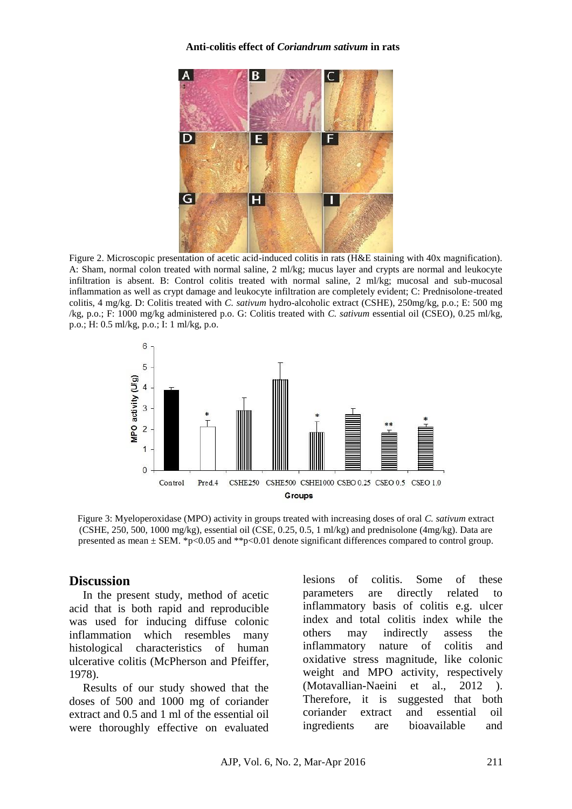#### **Anti-colitis effect of** *Coriandrum sativum* **in rats**



Figure 2. Microscopic presentation of acetic acid-induced colitis in rats (H&E staining with 40x magnification). A: Sham, normal colon treated with normal saline, 2 ml/kg; mucus layer and crypts are normal and leukocyte infiltration is absent. B: Control colitis treated with normal saline, 2 ml/kg; mucosal and sub-mucosal inflammation as well as crypt damage and leukocyte infiltration are completely evident; C: Prednisolone-treated colitis, 4 mg/kg. D: Colitis treated with *C. sativum* hydro-alcoholic extract (CSHE), 250mg/kg, p.o.; E: 500 mg /kg, p.o.; F: 1000 mg/kg administered p.o. G: Colitis treated with *C. sativum* essential oil (CSEO), 0.25 ml/kg, p.o.; H: 0.5 ml/kg, p.o.; I: 1 ml/kg, p.o.



Figure 3: Myeloperoxidase (MPO) activity in groups treated with increasing doses of oral *C. sativum* extract (CSHE, 250, 500, 1000 mg/kg), essential oil (CSE, 0.25, 0.5, 1 ml/kg) and prednisolone (4mg/kg). Data are presented as mean  $\pm$  SEM. \*p<0.05 and \*\*p<0.01 denote significant differences compared to control group.

#### **Discussion**

In the present study, method of acetic acid that is both rapid and reproducible was used for inducing diffuse colonic inflammation which resembles many histological characteristics of human ulcerative colitis (McPherson and Pfeiffer, 1978).

Results of our study showed that the doses of 500 and 1000 mg of coriander extract and 0.5 and 1 ml of the essential oil were thoroughly effective on evaluated lesions of colitis. Some of these parameters are directly related to inflammatory basis of colitis e.g. ulcer index and total colitis index while the others may indirectly assess the inflammatory nature of colitis and oxidative stress magnitude, like colonic weight and MPO activity, respectively (Motavallian-Naeini et al., 2012 ). Therefore, it is suggested that both coriander extract and essential oil ingredients are bioavailable and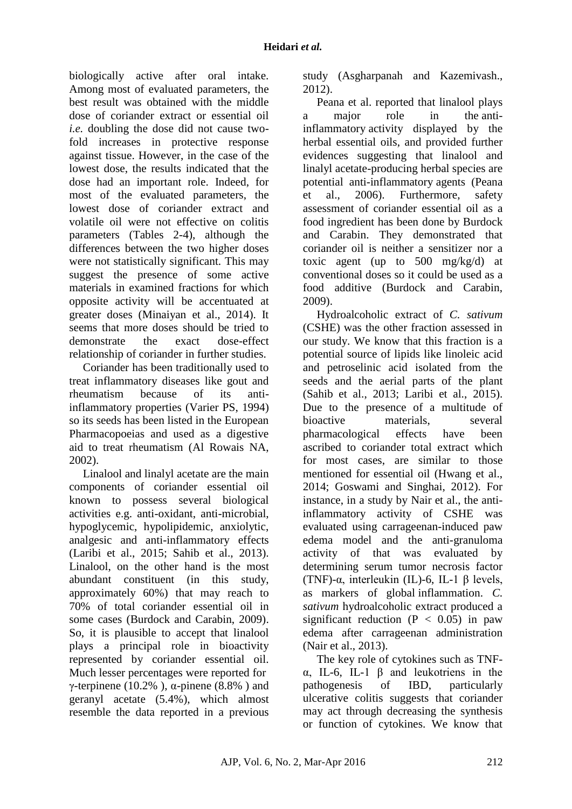biologically active after oral intake. Among most of evaluated parameters, the best result was obtained with the middle dose of coriander extract or essential oil *i.e.* doubling the dose did not cause twofold increases in protective response against tissue. However, in the case of the lowest dose, the results indicated that the dose had an important role. Indeed, for most of the evaluated parameters, the lowest dose of coriander extract and volatile oil were not effective on colitis parameters (Tables 2-4), although the differences between the two higher doses were not statistically significant. This may suggest the presence of some active materials in examined fractions for which opposite activity will be accentuated at greater doses (Minaiyan et al., 2014). It seems that more doses should be tried to demonstrate the exact dose-effect relationship of coriander in further studies.

Coriander has been traditionally used to treat inflammatory diseases like gout and rheumatism because of its antiinflammatory properties (Varier PS, 1994) so its seeds has been listed in the European Pharmacopoeias and used as a digestive aid to treat rheumatism (Al Rowais NA, 2002).

Linalool and linalyl acetate are the main components of coriander essential oil known to possess several biological activities e.g. anti-oxidant, anti-microbial, hypoglycemic, hypolipidemic, anxiolytic, analgesic and anti-inflammatory effects (Laribi et al., 2015; Sahib et al., 2013). Linalool, on the other hand is the most abundant constituent (in this study, approximately 60%) that may reach to 70% of total coriander essential oil in some cases (Burdock and Carabin, 2009). So, it is plausible to accept that linalool plays a principal role in bioactivity represented by coriander essential oil. Much lesser percentages were reported for γ-terpinene (10.2%),  $\alpha$ -pinene (8.8%) and geranyl acetate (5.4%), which almost resemble the data reported in a previous study (Asgharpanah and Kazemivash., 2012).

Peana et al. reported that linalool plays a major role in the antiinflammatory activity displayed by the herbal essential oils, and provided further evidences suggesting that linalool and linalyl acetate-producing herbal species are potential anti-inflammatory agents (Peana et al., 2006). Furthermore, safety assessment of coriander essential oil as a food ingredient has been done by Burdock and Carabin. They demonstrated that coriander oil is neither a sensitizer nor a toxic agent (up to  $500 \text{ mg/kg/d}$ ) at conventional doses so it could be used as a food additive (Burdock and Carabin, 2009).

Hydroalcoholic extract of *C. sativum* (CSHE) was the other fraction assessed in our study. We know that this fraction is a potential source of lipids like linoleic acid and petroselinic acid isolated from the seeds and the aerial parts of the plant (Sahib et al., 2013; Laribi et al., 2015). Due to the presence of a multitude of bioactive materials, several pharmacological effects have been ascribed to coriander total extract which for most cases, are similar to those mentioned for essential oil (Hwang et al., 2014; Goswami and Singhai, 2012). For instance, in a study by [Nair e](http://www.ncbi.nlm.nih.gov/pubmed?term=Nair%20V%5BAuthor%5D&cauthor=true&cauthor_uid=23741156)t al., the antiinflammatory activity of CSHE was evaluated using carrageenan-induced paw edema model and the anti-granuloma activity of that was evaluated by determining serum tumor necrosis factor (TNF)-α, interleukin (IL)-6, IL-1 β levels, as markers of global inflammation. *C. sativum* hydroalcoholic extract produced a significant reduction  $(P < 0.05)$  in paw edema after carrageenan administration (Nair et al., 2013).

The key role of cytokines such as TNFα, IL-6, IL-1 β and leukotriens in the pathogenesis of IBD, particularly ulcerative colitis suggests that coriander may act through decreasing the synthesis or function of cytokines. We know that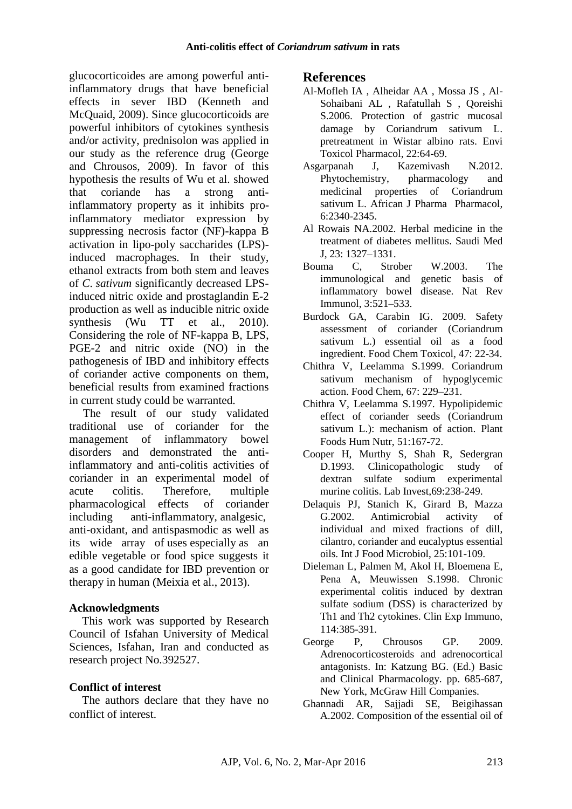glucocorticoides are among powerful antiinflammatory drugs that have beneficial effects in sever IBD (Kenneth and McQuaid, 2009). Since glucocorticoids are powerful inhibitors of cytokines synthesis and/or activity, prednisolon was applied in our study as the reference drug (George and Chrousos, 2009). In favor of this hypothesis the results of Wu et al. showed that coriande has a strong antiinflammatory property as it inhibits proinflammatory mediator expression by suppressing necrosis factor (NF)-kappa B activation in lipo-poly saccharides (LPS) induced macrophages. In their study, ethanol extracts from both stem and leaves of *C. sativum* significantly decreased LPSinduced nitric oxide and prostaglandin E-2 production as well as inducible nitric oxide synthesis [\(Wu TT](http://www.ncbi.nlm.nih.gov/pubmed?term=Wu%20TT%5BAuthor%5D&cauthor=true&cauthor_uid=20549653) et al., 2010). Considering the role of NF-kappa B, LPS, PGE-2 and nitric oxide (NO) in the pathogenesis of IBD and inhibitory effects of coriander active components on them, beneficial results from examined fractions in current study could be warranted.

The result of our study validated traditional use of coriander for the management of inflammatory bowel disorders and demonstrated the antiinflammatory and anti-colitis activities of coriander in an experimental model of acute colitis. Therefore, multiple pharmacological effects of coriander including anti-inflammatory, analgesic, anti-oxidant, and antispasmodic as well as its wide array of uses especially as an edible vegetable or food spice suggests it as a good candidate for IBD prevention or therapy in human (Meixia et al., 2013).

#### **Acknowledgments**

This work was supported by Research Council of Isfahan University of Medical Sciences, Isfahan, Iran and conducted as research project No.392527.

## **Conflict of interest**

The authors declare that they have no conflict of interest.

### **References**

- Al-Mofleh IA , Alheidar AA , Mossa JS , Al-Sohaibani AL , Rafatullah S , Qoreishi S.2006. Protection of gastric mucosal damage by Coriandrum sativum L. pretreatment in Wistar albino rats. Envi Toxicol Pharmacol, 22:64-69.
- Asgarpanah J, Kazemivash N.2012. Phytochemistry, pharmacology and medicinal properties of Coriandrum sativum L. African J Pharma Pharmacol, 6:2340-2345.
- Al Rowais NA.2002. Herbal medicine in the treatment of diabetes mellitus. Saudi Med J, 23: 1327–1331.
- Bouma C, Strober W.2003. The immunological and genetic basis of inflammatory bowel disease. Nat Rev Immunol, 3:521–533.
- Burdock GA, Carabin IG. 2009. Safety assessment of coriander (Coriandrum sativum L.) essential oil as a food ingredient. Food Chem Toxicol, 47: 22-34.
- Chithra V, Leelamma S.1999. Coriandrum sativum mechanism of hypoglycemic action. Food Chem, 67: 229–231.
- Chithra V, Leelamma S.1997. Hypolipidemic effect of coriander seeds (Coriandrum sativum L.): mechanism of action. Plant Foods Hum Nutr, 51:167-72.
- Cooper H, Murthy S, Shah R, Sedergran D.1993. Clinicopathologic study of dextran sulfate sodium experimental murine colitis. Lab Invest,69:238-249.
- Delaquis PJ, Stanich K, Girard B, Mazza G.2002. Antimicrobial activity of individual and mixed fractions of dill, cilantro, coriander and eucalyptus essential oils. Int J Food Microbiol, 25:101-109.
- Dieleman L, Palmen M, Akol H, Bloemena E, Pena A, Meuwissen S.1998. Chronic experimental colitis induced by dextran sulfate sodium (DSS) is characterized by Th1 and Th2 cytokines. Clin Exp Immuno, 114:385-391.
- George P, Chrousos GP. 2009. Adrenocorticosteroids and adrenocortical antagonists. In: Katzung BG. (Ed.) Basic and Clinical Pharmacology. pp. 685-687, New York, McGraw Hill Companies.
- Ghannadi AR, Sajjadi SE, Beigihassan A.2002. Composition of the essential oil of